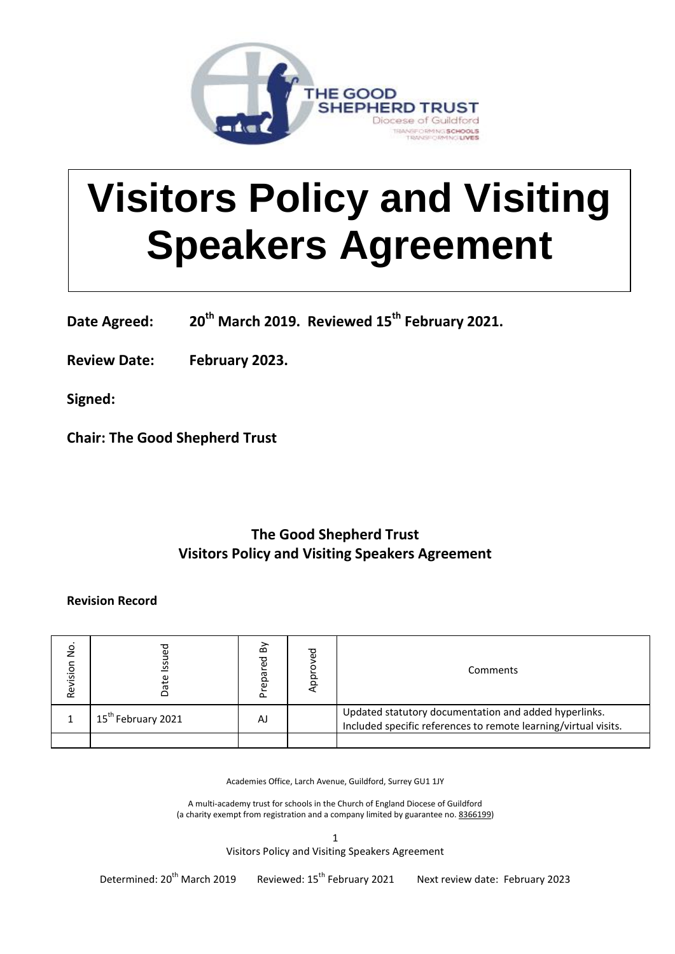

# **Visitors Policy and Visiting Speakers Agreement**

**Date Agreed: 20th March 2019. Reviewed 15th February 2021.**

**Review Date: February 2023.**

**Signed:**

**Chair: The Good Shepherd Trust**

# **The Good Shepherd Trust Visitors Policy and Visiting Speakers Agreement**

# **Revision Record**

| ş<br>Revision | S                              | δ<br>epared<br>՟ | ය<br>ය<br>$\Omega$<br>ਨ | Comments                                                                                                                 |
|---------------|--------------------------------|------------------|-------------------------|--------------------------------------------------------------------------------------------------------------------------|
|               | 15 <sup>th</sup> February 2021 | AJ               |                         | Updated statutory documentation and added hyperlinks.<br>Included specific references to remote learning/virtual visits. |
|               |                                |                  |                         |                                                                                                                          |

Academies Office, Larch Avenue, Guildford, Surrey GU1 1JY

A multi-academy trust for schools in the Church of England Diocese of Guildford (a charity exempt from registration and a company limited by guarantee no. [8366199\)](tel:8366199)

> 1 Visitors Policy and Visiting Speakers Agreement

Determined: 20<sup>th</sup> March 2019 Reviewed: 15<sup>th</sup> February 2021 Next review date: February 2023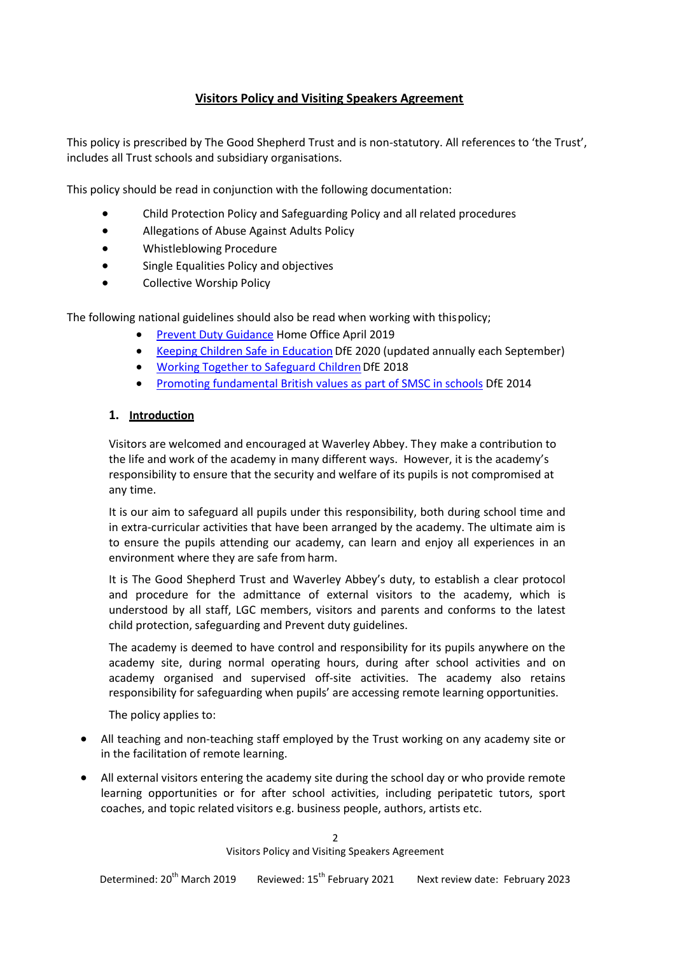## **Visitors Policy and Visiting Speakers Agreement**

This policy is prescribed by The Good Shepherd Trust and is non-statutory. All references to 'the Trust', includes all Trust schools and subsidiary organisations.

This policy should be read in conjunction with the following documentation:

- Child Protection Policy and Safeguarding Policy and all related procedures
- Allegations of Abuse Against Adults Policy
- Whistleblowing Procedure
- Single Equalities Policy and objectives
- **•** Collective Worship Policy

The following national guidelines should also be read when working with thispolicy;

- **[Prevent Duty Guidance](https://www.gov.uk/government/publications/prevent-duty-guidance/revised-prevent-duty-guidance-for-england-and-wales) Home Office April 2019**
- [Keeping Children Safe in Education](https://www.gov.uk/government/publications/keeping-children-safe-in-education--2) DfE 2020 (updated annually each September)
- Working Together to Safeguard Children DfE 2018
- [Promoting fundamental British values as part of SMSC in schools](https://www.gov.uk/government/publications/promoting-fundamental-british-values-through-smsc) DfE 2014

#### **1. Introduction**

Visitors are welcomed and encouraged at Waverley Abbey. They make a contribution to the life and work of the academy in many different ways. However, it is the academy's responsibility to ensure that the security and welfare of its pupils is not compromised at any time.

It is our aim to safeguard all pupils under this responsibility, both during school time and in extra-curricular activities that have been arranged by the academy. The ultimate aim is to ensure the pupils attending our academy, can learn and enjoy all experiences in an environment where they are safe from harm.

It is The Good Shepherd Trust and Waverley Abbey's duty, to establish a clear protocol and procedure for the admittance of external visitors to the academy, which is understood by all staff, LGC members, visitors and parents and conforms to the latest child protection, safeguarding and Prevent duty guidelines.

The academy is deemed to have control and responsibility for its pupils anywhere on the academy site, during normal operating hours, during after school activities and on academy organised and supervised off-site activities. The academy also retains responsibility for safeguarding when pupils' are accessing remote learning opportunities.

The policy applies to:

- All teaching and non-teaching staff employed by the Trust working on any academy site or in the facilitation of remote learning.
- All external visitors entering the academy site during the school day or who provide remote learning opportunities or for after school activities, including peripatetic tutors, sport coaches, and topic related visitors e.g. business people, authors, artists etc.

 $\mathfrak{p}$ Visitors Policy and Visiting Speakers Agreement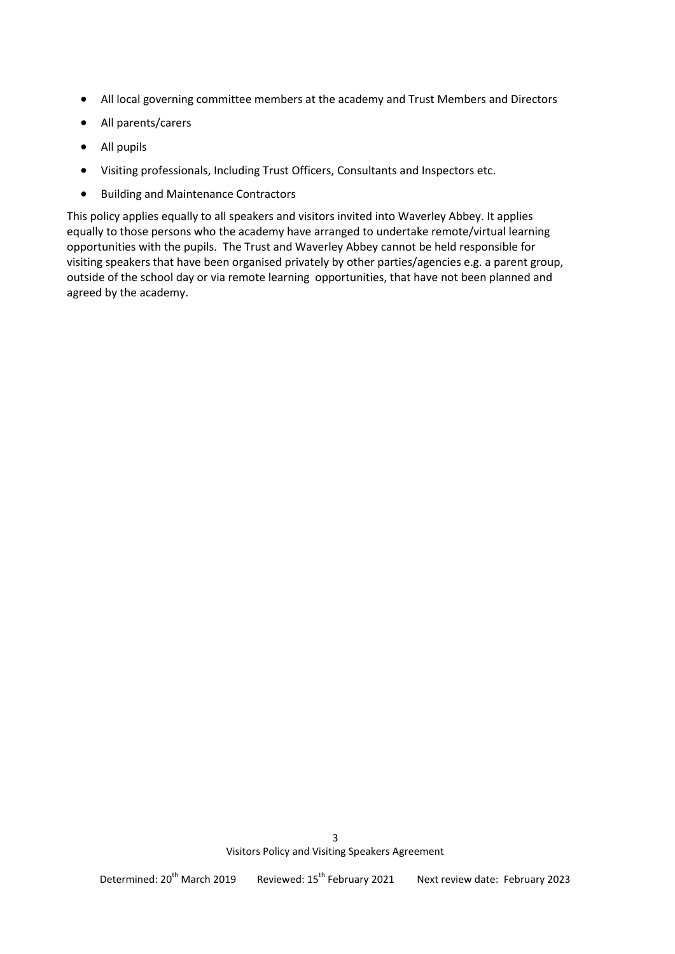- All local governing committee members at the academy and Trust Members and Directors
- All parents/carers
- All pupils
- Visiting professionals, Including Trust Officers, Consultants and Inspectors etc.
- **•** Building and Maintenance Contractors

This policy applies equally to all speakers and visitors invited into Waverley Abbey. It applies equally to those persons who the academy have arranged to undertake remote/virtual learning opportunities with the pupils. The Trust and Waverley Abbey cannot be held responsible for visiting speakers that have been organised privately by other parties/agencies e.g. a parent group, outside of the school day or via remote learning opportunities, that have not been planned and agreed by the academy.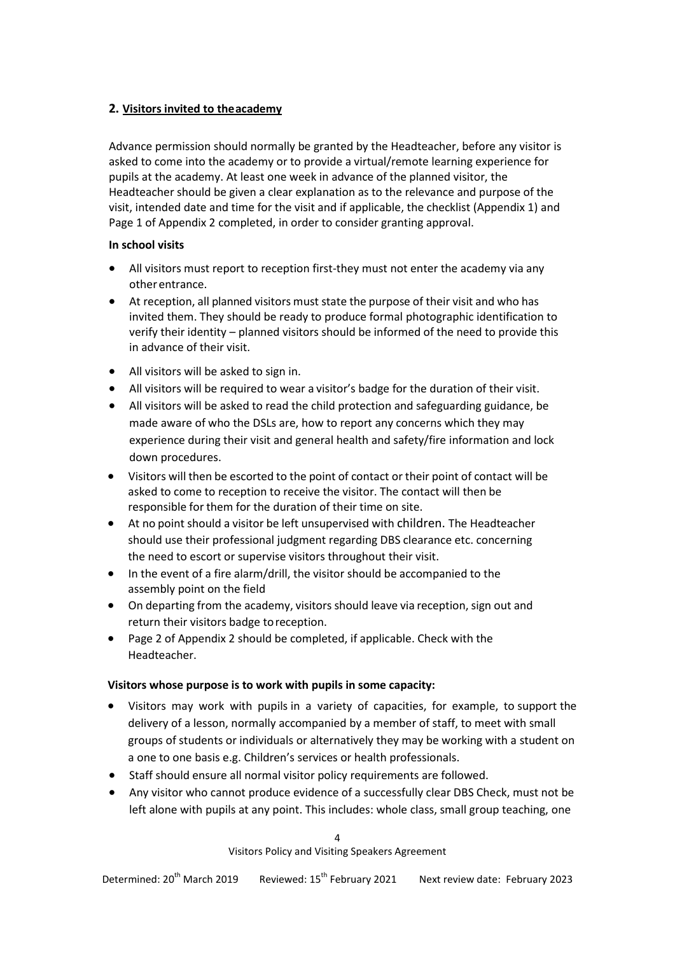#### **2. Visitors invited to theacademy**

Advance permission should normally be granted by the Headteacher, before any visitor is asked to come into the academy or to provide a virtual/remote learning experience for pupils at the academy. At least one week in advance of the planned visitor, the Headteacher should be given a clear explanation as to the relevance and purpose of the visit, intended date and time for the visit and if applicable, the checklist (Appendix 1) and Page 1 of Appendix 2 completed, in order to consider granting approval.

#### **In school visits**

- All visitors must report to reception first-they must not enter the academy via any otherentrance.
- At reception, all planned visitors must state the purpose of their visit and who has invited them. They should be ready to produce formal photographic identification to verify their identity – planned visitors should be informed of the need to provide this in advance of their visit.
- All visitors will be asked to sign in.
- All visitors will be required to wear a visitor's badge for the duration of their visit.
- All visitors will be asked to read the child protection and safeguarding guidance, be made aware of who the DSLs are, how to report any concerns which they may experience during their visit and general health and safety/fire information and lock down procedures.
- Visitors will then be escorted to the point of contact or their point of contact will be asked to come to reception to receive the visitor. The contact will then be responsible for them for the duration of their time on site.
- At no point should a visitor be left unsupervised with children. The Headteacher should use their professional judgment regarding DBS clearance etc. concerning the need to escort or supervise visitors throughout their visit.
- In the event of a fire alarm/drill, the visitor should be accompanied to the assembly point on the field
- On departing from the academy, visitors should leave via reception, sign out and return their visitors badge toreception.
- Page 2 of Appendix 2 should be completed, if applicable. Check with the Headteacher.

#### **Visitors whose purpose is to work with pupils in some capacity:**

- Visitors may work with pupils in a variety of capacities, for example, to support the delivery of a lesson, normally accompanied by a member of staff, to meet with small groups of students or individuals or alternatively they may be working with a student on a one to one basis e.g. Children's services or health professionals.
- Staff should ensure all normal visitor policy requirements are followed.
- Any visitor who cannot produce evidence of a successfully clear DBS Check, must not be left alone with pupils at any point. This includes: whole class, small group teaching, one

4 Visitors Policy and Visiting Speakers Agreement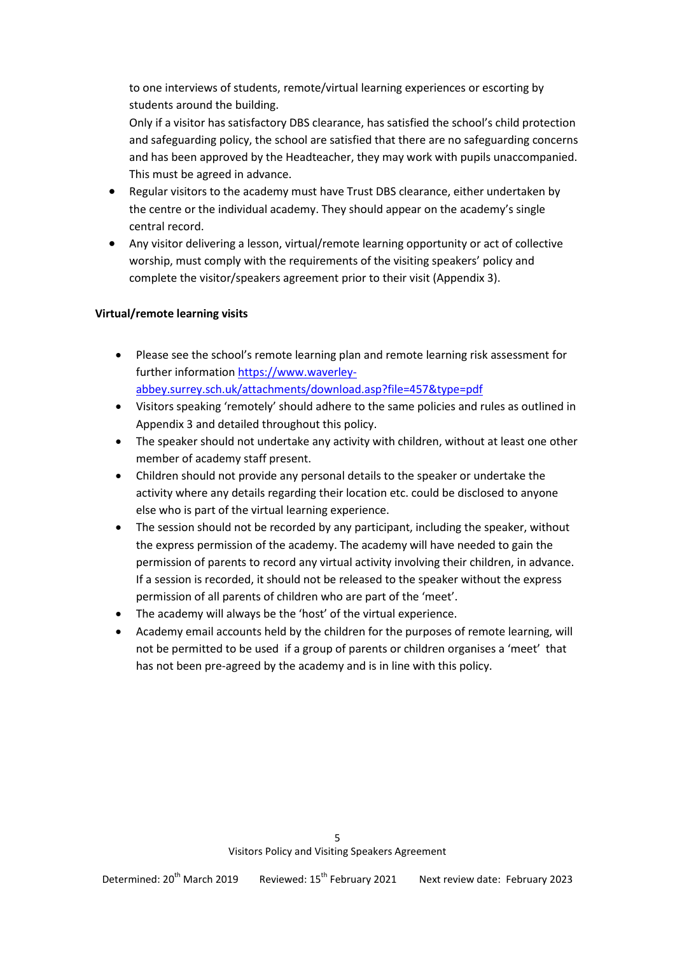to one interviews of students, remote/virtual learning experiences or escorting by students around the building.

Only if a visitor has satisfactory DBS clearance, has satisfied the school's child protection and safeguarding policy, the school are satisfied that there are no safeguarding concerns and has been approved by the Headteacher, they may work with pupils unaccompanied. This must be agreed in advance.

- Regular visitors to the academy must have Trust DBS clearance, either undertaken by the centre or the individual academy. They should appear on the academy's single central record.
- Any visitor delivering a lesson, virtual/remote learning opportunity or act of collective worship, must comply with the requirements of the visiting speakers' policy and complete the visitor/speakers agreement prior to their visit (Appendix 3).

#### **Virtual/remote learning visits**

- Please see the school's remote learning plan and remote learning risk assessment for further information [https://www.waverley](https://www.waverley-abbey.surrey.sch.uk/attachments/download.asp?file=457&type=pdf)[abbey.surrey.sch.uk/attachments/download.asp?file=457&type=pdf](https://www.waverley-abbey.surrey.sch.uk/attachments/download.asp?file=457&type=pdf)
- Visitors speaking 'remotely' should adhere to the same policies and rules as outlined in Appendix 3 and detailed throughout this policy.
- The speaker should not undertake any activity with children, without at least one other member of academy staff present.
- Children should not provide any personal details to the speaker or undertake the activity where any details regarding their location etc. could be disclosed to anyone else who is part of the virtual learning experience.
- The session should not be recorded by any participant, including the speaker, without the express permission of the academy. The academy will have needed to gain the permission of parents to record any virtual activity involving their children, in advance. If a session is recorded, it should not be released to the speaker without the express permission of all parents of children who are part of the 'meet'.
- The academy will always be the 'host' of the virtual experience.
- Academy email accounts held by the children for the purposes of remote learning, will not be permitted to be used if a group of parents or children organises a 'meet' that has not been pre-agreed by the academy and is in line with this policy.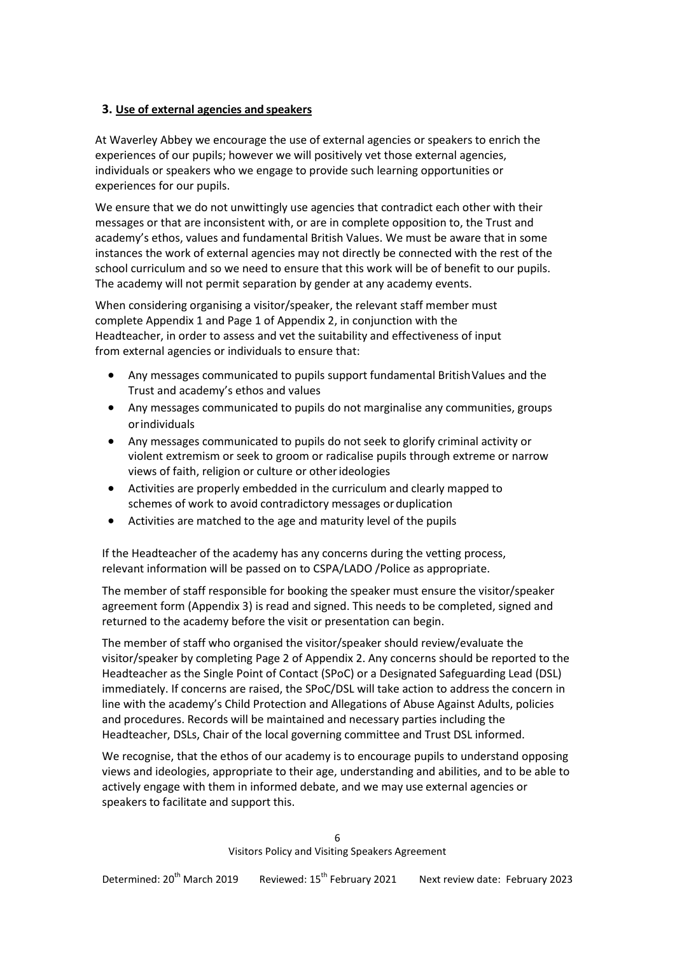#### **3. Use of external agencies and speakers**

At Waverley Abbey we encourage the use of external agencies or speakers to enrich the experiences of our pupils; however we will positively vet those external agencies, individuals or speakers who we engage to provide such learning opportunities or experiences for our pupils.

We ensure that we do not unwittingly use agencies that contradict each other with their messages or that are inconsistent with, or are in complete opposition to, the Trust and academy's ethos, values and fundamental British Values. We must be aware that in some instances the work of external agencies may not directly be connected with the rest of the school curriculum and so we need to ensure that this work will be of benefit to our pupils. The academy will not permit separation by gender at any academy events.

When considering organising a visitor/speaker, the relevant staff member must complete Appendix 1 and Page 1 of Appendix 2, in conjunction with the Headteacher, in order to assess and vet the suitability and effectiveness of input from external agencies or individuals to ensure that:

- Any messages communicated to pupils support fundamental BritishValues and the Trust and academy's ethos and values
- Any messages communicated to pupils do not marginalise any communities, groups orindividuals
- Any messages communicated to pupils do not seek to glorify criminal activity or violent extremism or seek to groom or radicalise pupils through extreme or narrow views of faith, religion or culture or otherideologies
- Activities are properly embedded in the curriculum and clearly mapped to schemes of work to avoid contradictory messages orduplication
- Activities are matched to the age and maturity level of the pupils

If the Headteacher of the academy has any concerns during the vetting process, relevant information will be passed on to CSPA/LADO /Police as appropriate.

The member of staff responsible for booking the speaker must ensure the visitor/speaker agreement form (Appendix 3) is read and signed. This needs to be completed, signed and returned to the academy before the visit or presentation can begin.

The member of staff who organised the visitor/speaker should review/evaluate the visitor/speaker by completing Page 2 of Appendix 2. Any concerns should be reported to the Headteacher as the Single Point of Contact (SPoC) or a Designated Safeguarding Lead (DSL) immediately. If concerns are raised, the SPoC/DSL will take action to address the concern in line with the academy's Child Protection and Allegations of Abuse Against Adults, policies and procedures. Records will be maintained and necessary parties including the Headteacher, DSLs, Chair of the local governing committee and Trust DSL informed.

We recognise, that the ethos of our academy is to encourage pupils to understand opposing views and ideologies, appropriate to their age, understanding and abilities, and to be able to actively engage with them in informed debate, and we may use external agencies or speakers to facilitate and support this.

> 6 Visitors Policy and Visiting Speakers Agreement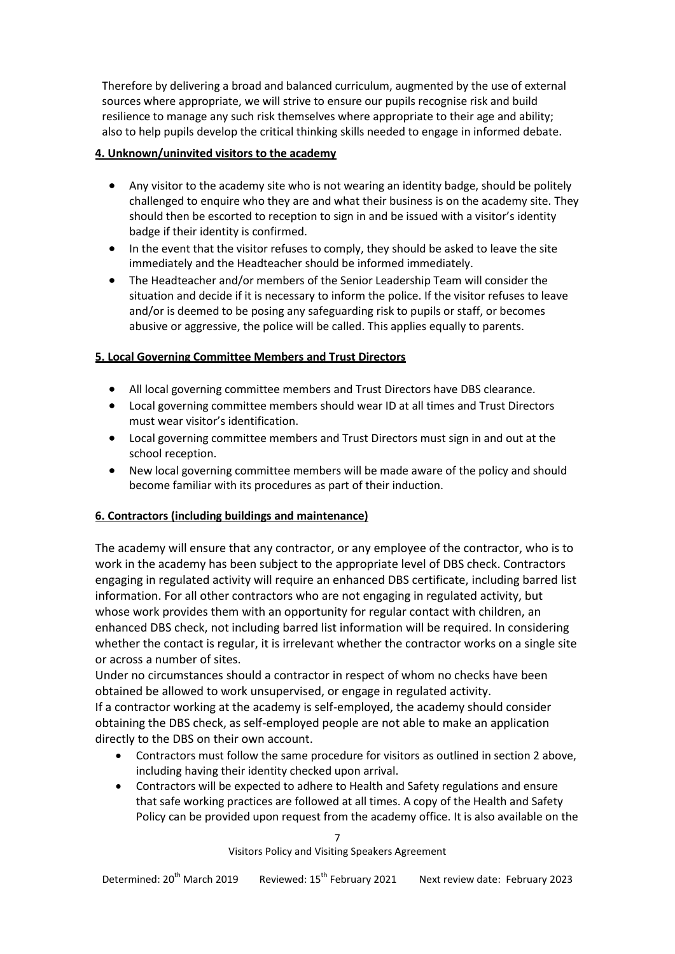Therefore by delivering a broad and balanced curriculum, augmented by the use of external sources where appropriate, we will strive to ensure our pupils recognise risk and build resilience to manage any such risk themselves where appropriate to their age and ability; also to help pupils develop the critical thinking skills needed to engage in informed debate.

#### **4. Unknown/uninvited visitors to the academy**

- Any visitor to the academy site who is not wearing an identity badge, should be politely challenged to enquire who they are and what their business is on the academy site. They should then be escorted to reception to sign in and be issued with a visitor's identity badge if their identity is confirmed.
- In the event that the visitor refuses to comply, they should be asked to leave the site immediately and the Headteacher should be informed immediately.
- The Headteacher and/or members of the Senior Leadership Team will consider the situation and decide if it is necessary to inform the police. If the visitor refuses to leave and/or is deemed to be posing any safeguarding risk to pupils or staff, or becomes abusive or aggressive, the police will be called. This applies equally to parents.

## **5. Local Governing Committee Members and Trust Directors**

- All local governing committee members and Trust Directors have DBS clearance.
- Local governing committee members should wear ID at all times and Trust Directors must wear visitor's identification.
- Local governing committee members and Trust Directors must sign in and out at the school reception.
- New local governing committee members will be made aware of the policy and should become familiar with its procedures as part of their induction.

#### **6. Contractors (including buildings and maintenance)**

The academy will ensure that any contractor, or any employee of the contractor, who is to work in the academy has been subject to the appropriate level of DBS check. Contractors engaging in regulated activity will require an enhanced DBS certificate, including barred list information. For all other contractors who are not engaging in regulated activity, but whose work provides them with an opportunity for regular contact with children, an enhanced DBS check, not including barred list information will be required. In considering whether the contact is regular, it is irrelevant whether the contractor works on a single site or across a number of sites.

Under no circumstances should a contractor in respect of whom no checks have been obtained be allowed to work unsupervised, or engage in regulated activity. If a contractor working at the academy is self-employed, the academy should consider obtaining the DBS check, as self-employed people are not able to make an application directly to the DBS on their own account.

- Contractors must follow the same procedure for visitors as outlined in section 2 above, including having their identity checked upon arrival.
- Contractors will be expected to adhere to Health and Safety regulations and ensure that safe working practices are followed at all times. A copy of the Health and Safety Policy can be provided upon request from the academy office. It is also available on the

7 Visitors Policy and Visiting Speakers Agreement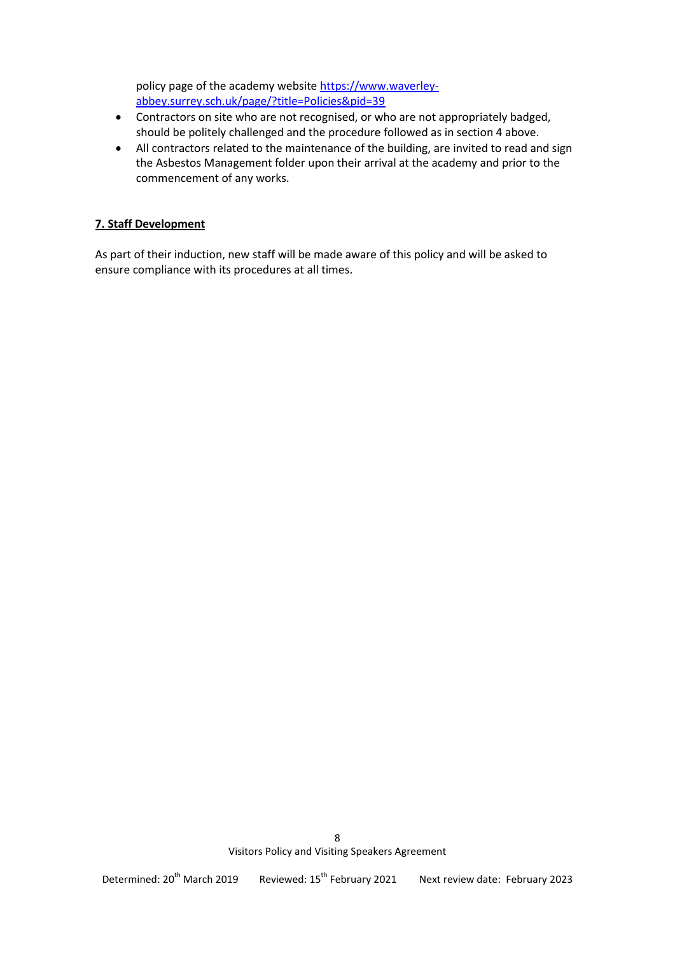policy page of the academy website [https://www.waverley](https://www.waverley-abbey.surrey.sch.uk/page/?title=Policies&pid=39)[abbey.surrey.sch.uk/page/?title=Policies&pid=39](https://www.waverley-abbey.surrey.sch.uk/page/?title=Policies&pid=39)

- Contractors on site who are not recognised, or who are not appropriately badged, should be politely challenged and the procedure followed as in section 4 above.
- All contractors related to the maintenance of the building, are invited to read and sign the Asbestos Management folder upon their arrival at the academy and prior to the commencement of any works.

#### **7. Staff Development**

As part of their induction, new staff will be made aware of this policy and will be asked to ensure compliance with its procedures at all times.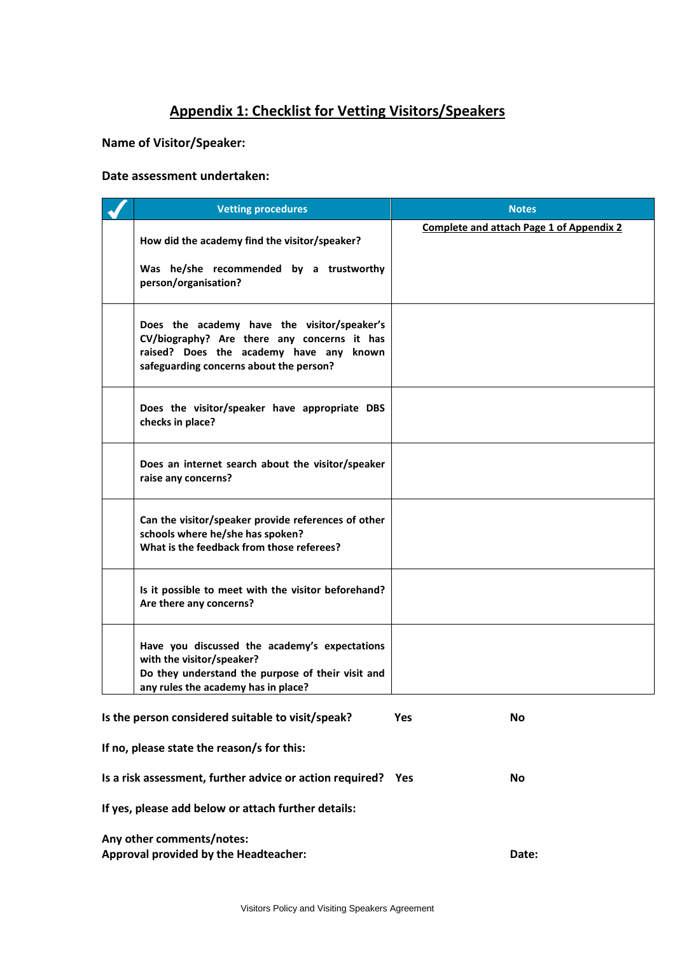# **Appendix 1: Checklist for Vetting Visitors/Speakers**

#### **Name of Visitor/Speaker:**

#### **Date assessment undertaken:**

|                                                   | <b>Vetting procedures</b>                                                                                                                                                        | <b>Notes</b>                                    |
|---------------------------------------------------|----------------------------------------------------------------------------------------------------------------------------------------------------------------------------------|-------------------------------------------------|
|                                                   | How did the academy find the visitor/speaker?<br>Was he/she recommended by a trustworthy<br>person/organisation?                                                                 | <b>Complete and attach Page 1 of Appendix 2</b> |
|                                                   | Does the academy have the visitor/speaker's<br>CV/biography? Are there any concerns it has<br>raised? Does the academy have any known<br>safeguarding concerns about the person? |                                                 |
|                                                   | Does the visitor/speaker have appropriate DBS<br>checks in place?                                                                                                                |                                                 |
|                                                   | Does an internet search about the visitor/speaker<br>raise any concerns?                                                                                                         |                                                 |
|                                                   | Can the visitor/speaker provide references of other<br>schools where he/she has spoken?<br>What is the feedback from those referees?                                             |                                                 |
|                                                   | Is it possible to meet with the visitor beforehand?<br>Are there any concerns?                                                                                                   |                                                 |
|                                                   | Have you discussed the academy's expectations<br>with the visitor/speaker?<br>Do they understand the purpose of their visit and<br>any rules the academy has in place?           |                                                 |
| Is the person considered suitable to visit/speak? |                                                                                                                                                                                  | <b>Yes</b><br>No                                |
|                                                   | If no, please state the reason/s for this:                                                                                                                                       |                                                 |
|                                                   | Is a risk assessment, further advice or action required? Yes                                                                                                                     | No                                              |
|                                                   | If yes, please add below or attach further details:                                                                                                                              |                                                 |

**Any other comments/notes: Approval provided by the Headteacher: Date:**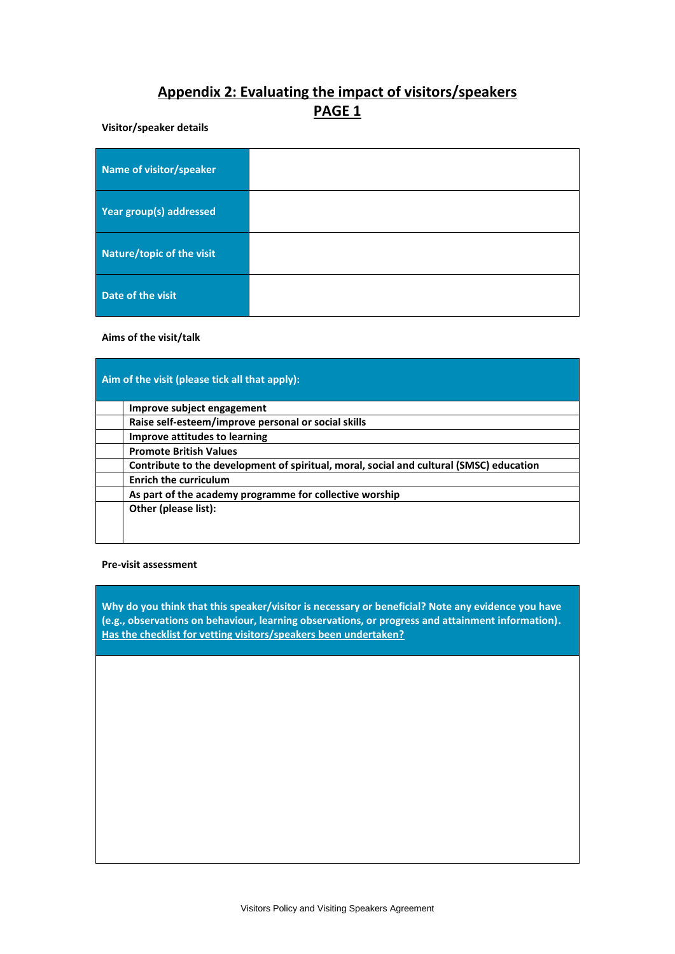# **Appendix 2: Evaluating the impact of visitors/speakers PAGE 1**

#### **Visitor/speaker details**

| Name of visitor/speaker   |  |
|---------------------------|--|
| Year group(s) addressed   |  |
| Nature/topic of the visit |  |
| Date of the visit         |  |

#### **Aims of the visit/talk**

|  | Aim of the visit (please tick all that apply):                                          |  |  |  |
|--|-----------------------------------------------------------------------------------------|--|--|--|
|  | Improve subject engagement                                                              |  |  |  |
|  | Raise self-esteem/improve personal or social skills                                     |  |  |  |
|  | Improve attitudes to learning                                                           |  |  |  |
|  | <b>Promote British Values</b>                                                           |  |  |  |
|  | Contribute to the development of spiritual, moral, social and cultural (SMSC) education |  |  |  |
|  | <b>Enrich the curriculum</b>                                                            |  |  |  |
|  | As part of the academy programme for collective worship                                 |  |  |  |
|  | Other (please list):                                                                    |  |  |  |
|  |                                                                                         |  |  |  |
|  |                                                                                         |  |  |  |

#### **Pre-visit assessment**

**Why do you think that this speaker/visitor is necessary or beneficial? Note any evidence you have (e.g., observations on behaviour, learning observations, or progress and attainment information). Has the checklist for vetting visitors/speakers been undertaken?**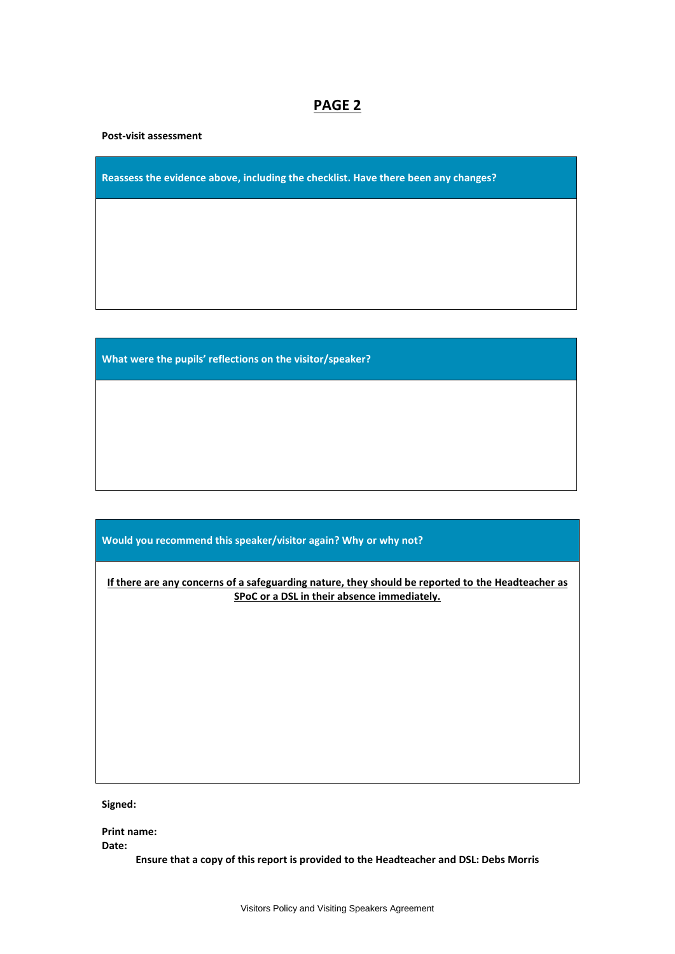## **PAGE 2**

**Post-visit assessment**

**Reassess the evidence above, including the checklist. Have there been any changes?**

**What were the pupils' reflections on the visitor/speaker?**

**Would you recommend this speaker/visitor again? Why or why not?** 

**If there are any concerns of a safeguarding nature, they should be reported to the Headteacher as SPoC or a DSL in their absence immediately.**

**Signed:**

**Print name: Date:**

**Ensure that a copy of this report is provided to the Headteacher and DSL: Debs Morris**